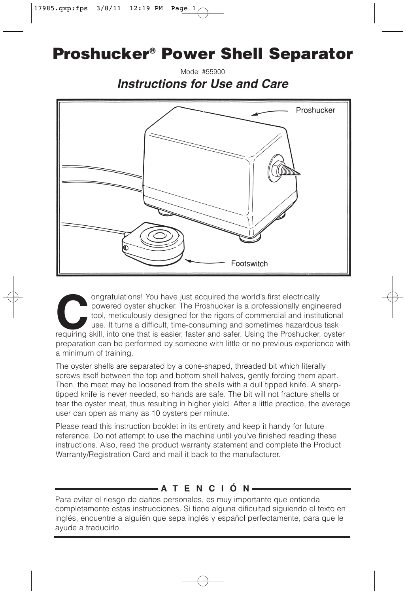# **Proshucker® Power Shell Separator**

Model #55900 **Instructions for Use and Care**



ongratulations! You have just acquired the world's first electrically powered oyster shucker. The Proshucker is a professionally engine tool, meticulously designed for the rigors of commercial and institutions. It turns a powered oyster shucker. The Proshucker is a professionally engineered tool, meticulously designed for the rigors of commercial and institutional use. It turns a difficult, time-consuming and sometimes hazardous task requiring skill, into one that is easier, faster and safer. Using the Proshucker, oyster preparation can be performed by someone with little or no previous experience with a minimum of training.

The oyster shells are separated by a cone-shaped, threaded bit which literally screws itself between the top and bottom shell halves, gently forcing them apart. Then, the meat may be loosened from the shells with a dull tipped knife. A sharptipped knife is never needed, so hands are safe. The bit will not fracture shells or tear the oyster meat, thus resulting in higher yield. After a little practice, the average user can open as many as 10 oysters per minute.

Please read this instruction booklet in its entirety and keep it handy for future reference. Do not attempt to use the machine until you've finished reading these instructions. Also, read the product warranty statement and complete the Product Warranty/Registration Card and mail it back to the manufacturer.

# **ATENCIÓN**

Para evitar el riesgo de daños personales, es muy importante que entienda completamente estas instrucciones. Si tiene alguna dificultad siguiendo el texto en inglés, encuentre a alguién que sepa inglés y español perfectamente, para que le ayude a traducirlo.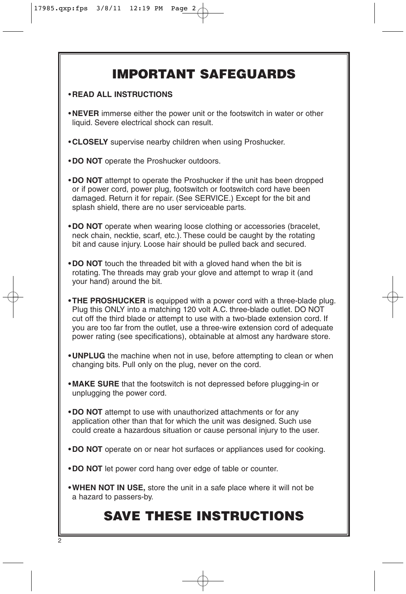# **IMPORTANT SAFEGUARDS**

#### • **READ ALL INSTRUCTIONS**

- **NEVER** immerse either the power unit or the footswitch in water or other liquid. Severe electrical shock can result.
- **CLOSELY** supervise nearby children when using Proshucker.
- **DO NOT** operate the Proshucker outdoors.
- **DO NOT** attempt to operate the Proshucker if the unit has been dropped or if power cord, power plug, footswitch or footswitch cord have been damaged. Return it for repair. (See SERVICE.) Except for the bit and splash shield, there are no user serviceable parts.
- **DO NOT** operate when wearing loose clothing or accessories (bracelet, neck chain, necktie, scarf, etc.). These could be caught by the rotating bit and cause injury. Loose hair should be pulled back and secured.
- **DO NOT** touch the threaded bit with a gloved hand when the bit is rotating. The threads may grab your glove and attempt to wrap it (and your hand) around the bit.
- **THE PROSHUCKER** is equipped with a power cord with a three-blade plug. Plug this ONLY into a matching 120 volt A.C. three-blade outlet. DO NOT cut off the third blade or attempt to use with a two-blade extension cord. If you are too far from the outlet, use a three-wire extension cord of adequate power rating (see specifications), obtainable at almost any hardware store.
- **UNPLUG** the machine when not in use, before attempting to clean or when changing bits. Pull only on the plug, never on the cord.
- **MAKE SURE** that the footswitch is not depressed before plugging-in or unplugging the power cord.
- **DO NOT** attempt to use with unauthorized attachments or for any application other than that for which the unit was designed. Such use could create a hazardous situation or cause personal injury to the user.
- **DO NOT** operate on or near hot surfaces or appliances used for cooking.
- **DO NOT** let power cord hang over edge of table or counter.
- **WHEN NOT IN USE,** store the unit in a safe place where it will not be a hazard to passers-by.

# **SAVE THESE INSTRUCTIONS**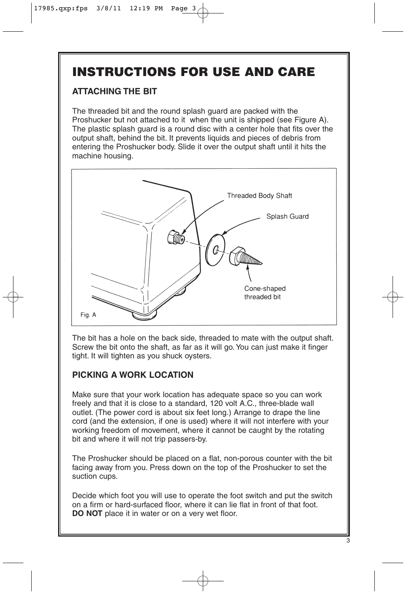# **INSTRUCTIONS FOR USE AND CARE**

# **ATTACHING THE BIT**

The threaded bit and the round splash guard are packed with the Proshucker but not attached to it when the unit is shipped (see Figure A). The plastic splash guard is a round disc with a center hole that fits over the output shaft, behind the bit. It prevents liquids and pieces of debris from entering the Proshucker body. Slide it over the output shaft until it hits the machine housing.



The bit has a hole on the back side, threaded to mate with the output shaft. Screw the bit onto the shaft, as far as it will go. You can just make it finger tight. It will tighten as you shuck oysters.

# **PICKING A WORK LOCATION**

Make sure that your work location has adequate space so you can work freely and that it is close to a standard, 120 volt A.C., three-blade wall outlet. (The power cord is about six feet long.) Arrange to drape the line cord (and the extension, if one is used) where it will not interfere with your working freedom of movement, where it cannot be caught by the rotating bit and where it will not trip passers-by.

The Proshucker should be placed on a flat, non-porous counter with the bit facing away from you. Press down on the top of the Proshucker to set the suction cups.

Decide which foot you will use to operate the foot switch and put the switch on a firm or hard-surfaced floor, where it can lie flat in front of that foot. **DO NOT** place it in water or on a very wet floor.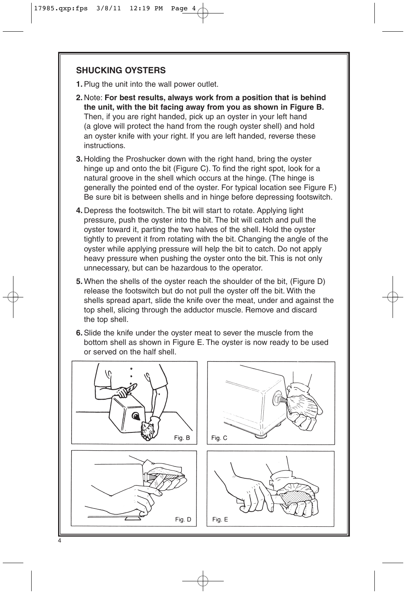### **SHUCKING OYSTERS**

- **1.**Plug the unit into the wall power outlet.
- **2.** Note: **For best results, always work from a position that is behind the unit, with the bit facing away from you as shown in Figure B.** Then, if you are right handed, pick up an oyster in your left hand (a glove will protect the hand from the rough oyster shell) and hold an oyster knife with your right. If you are left handed, reverse these instructions.
- **3.** Holding the Proshucker down with the right hand, bring the oyster hinge up and onto the bit (Figure C). To find the right spot, look for a natural groove in the shell which occurs at the hinge. (The hinge is generally the pointed end of the oyster. For typical location see Figure F.) Be sure bit is between shells and in hinge before depressing footswitch.
- **4.** Depress the footswitch. The bit will start to rotate. Applying light pressure, push the oyster into the bit. The bit will catch and pull the oyster toward it, parting the two halves of the shell. Hold the oyster tightly to prevent it from rotating with the bit. Changing the angle of the oyster while applying pressure will help the bit to catch. Do not apply heavy pressure when pushing the oyster onto the bit. This is not only unnecessary, but can be hazardous to the operator.
- **5.** When the shells of the oyster reach the shoulder of the bit, (Figure D) release the footswitch but do not pull the oyster off the bit. With the shells spread apart, slide the knife over the meat, under and against the top shell, slicing through the adductor muscle. Remove and discard the top shell.
- **6.**Slide the knife under the oyster meat to sever the muscle from the bottom shell as shown in Figure E. The oyster is now ready to be used or served on the half shell.

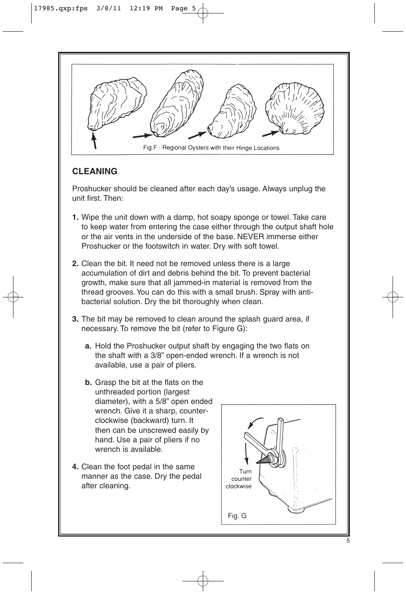

# **CLEANING**

Proshucker should be cleaned after each day's usage. Always unplug the unit first. Then:

- **1.** Wipe the unit down with a damp, hot soapy sponge or towel. Take care to keep water from entering the case either through the output shaft hole or the air vents in the underside of the base. NEVER immerse either Proshucker or the footswitch in water. Dry with soft towel.
- **2.** Clean the bit. It need not be removed unless there is a large accumulation of dirt and debris behind the bit. To prevent bacterial growth, make sure that all jammed-in material is removed from the thread grooves. You can do this with a small brush. Spray with antibacterial solution. Dry the bit thoroughly when clean.
- **3.** The bit may be removed to clean around the splash guard area, if necessary. To remove the bit (refer to Figure G):
	- **a.** Hold the Proshucker output shaft by engaging the two flats on the shaft with a 3/8" open-ended wrench. If a wrench is not available, use a pair of pliers.
	- **b.** Grasp the bit at the flats on the unthreaded portion (largest diameter), with a 5/8" open ended wrench. Give it a sharp, counterclockwise (backward) turn. It then can be unscrewed easily by hand. Use a pair of pliers if no wrench is available.
- **4.** Clean the foot pedal in the same manner as the case. Dry the pedal after cleaning.

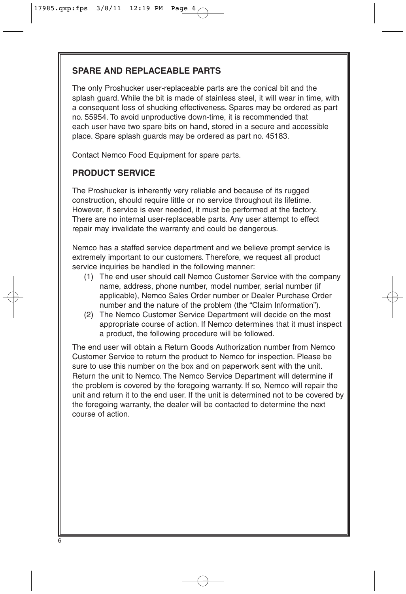## **SPARE AND REPLACEABLE PARTS**

The only Proshucker user-replaceable parts are the conical bit and the splash guard. While the bit is made of stainless steel, it will wear in time, with a consequent loss of shucking effectiveness. Spares may be ordered as part no. 55954. To avoid unproductive down-time, it is recommended that each user have two spare bits on hand, stored in a secure and accessible place. Spare splash guards may be ordered as part no. 45183.

Contact Nemco Food Equipment for spare parts.

## **PRODUCT SERVICE**

The Proshucker is inherently very reliable and because of its rugged construction, should require little or no service throughout its lifetime. However, if service is ever needed, it must be performed at the factory. There are no internal user-replaceable parts. Any user attempt to effect repair may invalidate the warranty and could be dangerous.

Nemco has a staffed service department and we believe prompt service is extremely important to our customers. Therefore, we request all product service inquiries be handled in the following manner:

- (1) The end user should call Nemco Customer Service with the company name, address, phone number, model number, serial number (if applicable), Nemco Sales Order number or Dealer Purchase Order number and the nature of the problem (the "Claim Information").
- (2) The Nemco Customer Service Department will decide on the most appropriate course of action. If Nemco determines that it must inspect a product, the following procedure will be followed.

The end user will obtain a Return Goods Authorization number from Nemco Customer Service to return the product to Nemco for inspection. Please be sure to use this number on the box and on paperwork sent with the unit. Return the unit to Nemco. The Nemco Service Department will determine if the problem is covered by the foregoing warranty. If so, Nemco will repair the unit and return it to the end user. If the unit is determined not to be covered by the foregoing warranty, the dealer will be contacted to determine the next course of action.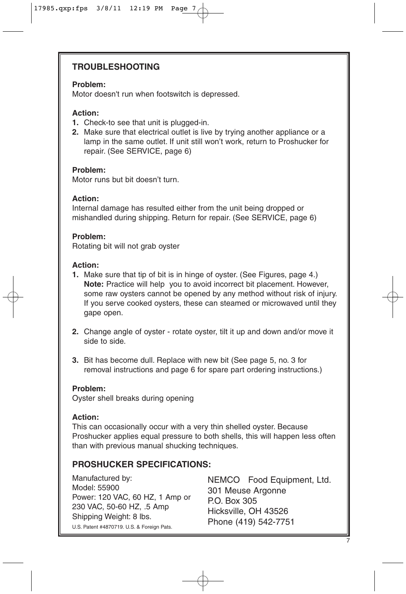## **TROUBLESHOOTING**

#### **Problem:**

Motor doesn't run when footswitch is depressed.

#### **Action:**

- **1.** Check-to see that unit is plugged-in.
- **2.** Make sure that electrical outlet is live by trying another appliance or a lamp in the same outlet. If unit still won't work, return to Proshucker for repair. (See SERVICE, page 6)

#### **Problem:**

Motor runs but bit doesn't turn.

#### **Action:**

Internal damage has resulted either from the unit being dropped or mishandled during shipping. Return for repair. (See SERVICE, page 6)

#### **Problem:**

Rotating bit will not grab oyster

#### **Action:**

- **1.** Make sure that tip of bit is in hinge of oyster. (See Figures, page 4.) **Note:** Practice will help you to avoid incorrect bit placement. However, some raw oysters cannot be opened by any method without risk of injury. If you serve cooked oysters, these can steamed or microwaved until they gape open.
- **2.** Change angle of oyster rotate oyster, tilt it up and down and/or move it side to side.
- **3.** Bit has become dull. Replace with new bit (See page 5, no. 3 for removal instructions and page 6 for spare part ordering instructions.)

#### **Problem:**

Oyster shell breaks during opening

#### **Action:**

This can occasionally occur with a very thin shelled oyster. Because Proshucker applies equal pressure to both shells, this will happen less often than with previous manual shucking techniques.

### **PROSHUCKER SPECIFICATIONS:**

Manufactured by: Model: 55900 Power: 120 VAC, 60 HZ, 1 Amp or 230 VAC, 50-60 HZ, .5 Amp Shipping Weight: 8 lbs. U.S. Patent #4870719. U.S. & Foreign Pats.

NEMCO Food Equipment, Ltd. 301 Meuse Argonne P.O. Box 305 Hicksville, OH 43526 Phone (419) 542-7751